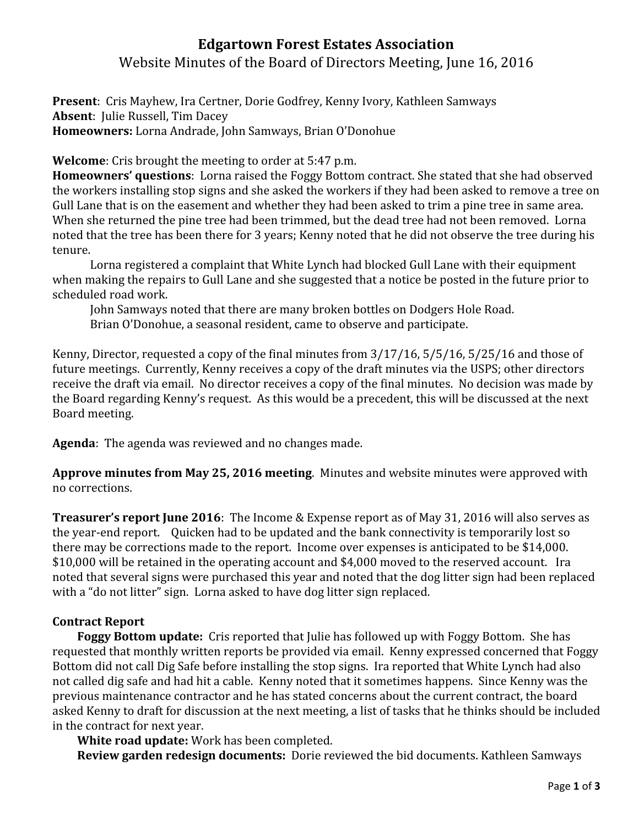## **Edgartown Forest Estates Association**

Website Minutes of the Board of Directors Meeting, June 16, 2016

**Present**: Cris Mayhew, Ira Certner, Dorie Godfrey, Kenny Ivory, Kathleen Samways **Absent**: Julie Russell, Tim Dacey **Homeowners:** Lorna Andrade, John Samways, Brian O'Donohue

**Welcome**: Cris brought the meeting to order at 5:47 p.m.

**Homeowners' questions**: Lorna raised the Foggy Bottom contract. She stated that she had observed the workers installing stop signs and she asked the workers if they had been asked to remove a tree on Gull Lane that is on the easement and whether they had been asked to trim a pine tree in same area. When she returned the pine tree had been trimmed, but the dead tree had not been removed. Lorna noted that the tree has been there for 3 years; Kenny noted that he did not observe the tree during his tenure.

Lorna registered a complaint that White Lynch had blocked Gull Lane with their equipment when making the repairs to Gull Lane and she suggested that a notice be posted in the future prior to scheduled road work.

John Samways noted that there are many broken bottles on Dodgers Hole Road. Brian O'Donohue, a seasonal resident, came to observe and participate.

Kenny, Director, requested a copy of the final minutes from 3/17/16, 5/5/16, 5/25/16 and those of future meetings. Currently, Kenny receives a copy of the draft minutes via the USPS; other directors receive the draft via email. No director receives a copy of the final minutes. No decision was made by the Board regarding Kenny's request. As this would be a precedent, this will be discussed at the next Board meeting.

**Agenda**: The agenda was reviewed and no changes made.

**Approve minutes from May 25, 2016 meeting**. Minutes and website minutes were approved with no corrections.

**Treasurer's report June 2016**: The Income & Expense report as of May 31, 2016 will also serves as the year-end report. Quicken had to be updated and the bank connectivity is temporarily lost so there may be corrections made to the report. Income over expenses is anticipated to be \$14,000. \$10,000 will be retained in the operating account and \$4,000 moved to the reserved account. Ira noted that several signs were purchased this year and noted that the dog litter sign had been replaced with a "do not litter" sign. Lorna asked to have dog litter sign replaced.

### **Contract Report**

 **Foggy Bottom update:** Cris reported that Julie has followed up with Foggy Bottom. She has requested that monthly written reports be provided via email. Kenny expressed concerned that Foggy Bottom did not call Dig Safe before installing the stop signs. Ira reported that White Lynch had also not called dig safe and had hit a cable. Kenny noted that it sometimes happens. Since Kenny was the previous maintenance contractor and he has stated concerns about the current contract, the board asked Kenny to draft for discussion at the next meeting, a list of tasks that he thinks should be included in the contract for next year.

**White road update:** Work has been completed.

**Review garden redesign documents:** Dorie reviewed the bid documents. Kathleen Samways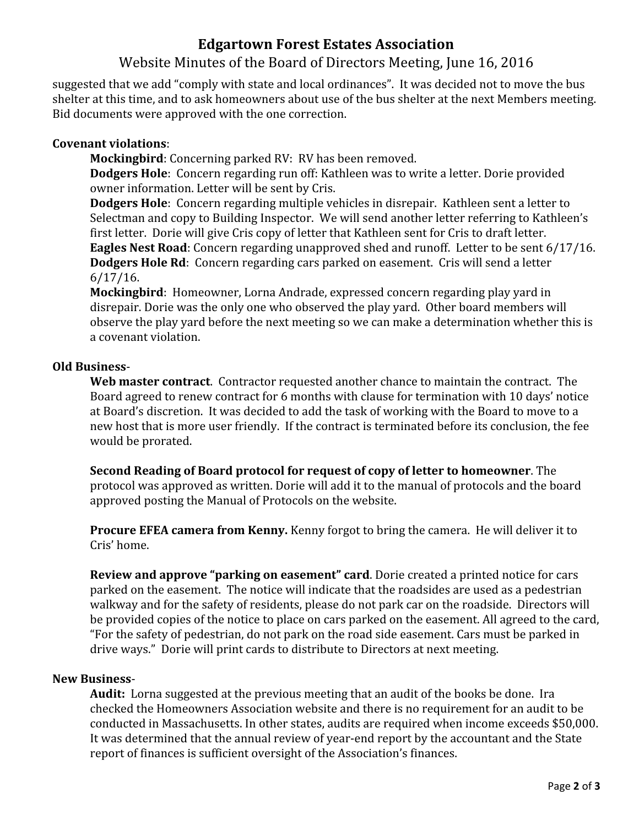# **Edgartown Forest Estates Association**

### Website Minutes of the Board of Directors Meeting, June 16, 2016

suggested that we add "comply with state and local ordinances". It was decided not to move the bus shelter at this time, and to ask homeowners about use of the bus shelter at the next Members meeting. Bid documents were approved with the one correction.

#### **Covenant violations**:

**Mockingbird**: Concerning parked RV: RV has been removed.

**Dodgers Hole**: Concern regarding run off: Kathleen was to write a letter. Dorie provided owner information. Letter will be sent by Cris.

**Dodgers Hole**: Concern regarding multiple vehicles in disrepair. Kathleen sent a letter to Selectman and copy to Building Inspector. We will send another letter referring to Kathleen's first letter. Dorie will give Cris copy of letter that Kathleen sent for Cris to draft letter. **Eagles Nest Road**: Concern regarding unapproved shed and runoff. Letter to be sent 6/17/16. **Dodgers Hole Rd**: Concern regarding cars parked on easement. Cris will send a letter 6/17/16.

**Mockingbird**: Homeowner, Lorna Andrade, expressed concern regarding play yard in disrepair. Dorie was the only one who observed the play yard. Other board members will observe the play yard before the next meeting so we can make a determination whether this is a covenant violation.

#### **Old Business**-

**Web master contract**. Contractor requested another chance to maintain the contract. The Board agreed to renew contract for 6 months with clause for termination with 10 days' notice at Board's discretion. It was decided to add the task of working with the Board to move to a new host that is more user friendly. If the contract is terminated before its conclusion, the fee would be prorated.

**Second Reading of Board protocol for request of copy of letter to homeowner**. The protocol was approved as written. Dorie will add it to the manual of protocols and the board approved posting the Manual of Protocols on the website.

**Procure EFEA camera from Kenny.** Kenny forgot to bring the camera. He will deliver it to Cris' home.

**Review and approve "parking on easement" card**. Dorie created a printed notice for cars parked on the easement. The notice will indicate that the roadsides are used as a pedestrian walkway and for the safety of residents, please do not park car on the roadside. Directors will be provided copies of the notice to place on cars parked on the easement. All agreed to the card, "For the safety of pedestrian, do not park on the road side easement. Cars must be parked in drive ways." Dorie will print cards to distribute to Directors at next meeting.

#### **New Business**-

**Audit:** Lorna suggested at the previous meeting that an audit of the books be done. Ira checked the Homeowners Association website and there is no requirement for an audit to be conducted in Massachusetts. In other states, audits are required when income exceeds \$50,000. It was determined that the annual review of year-end report by the accountant and the State report of finances is sufficient oversight of the Association's finances.